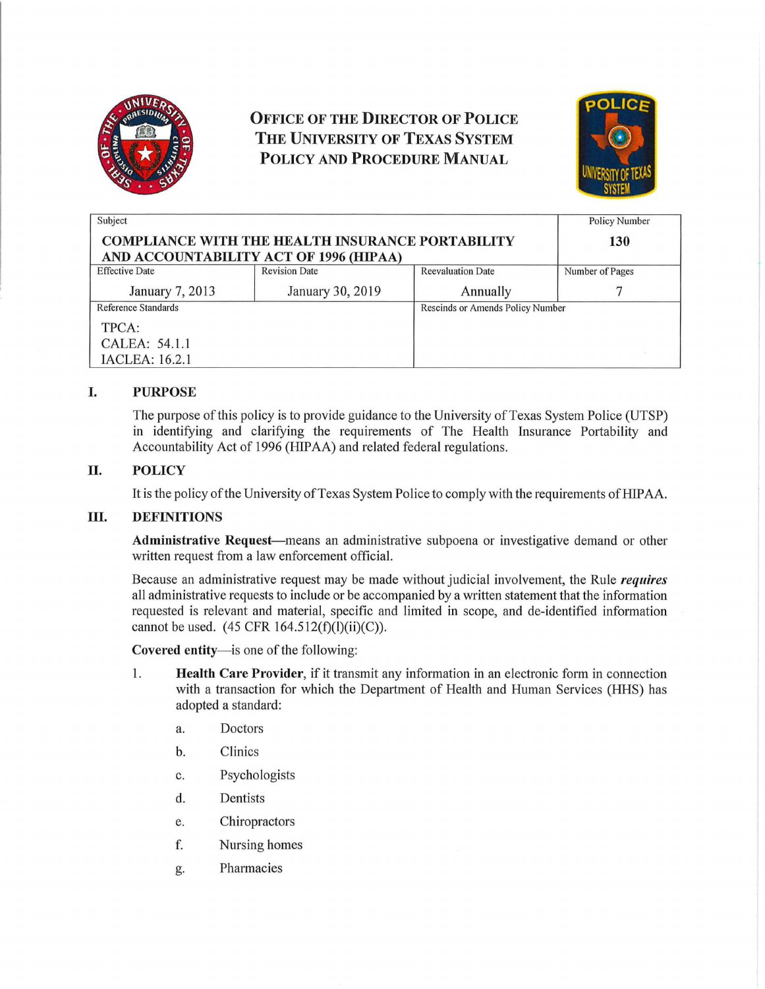

# OFFICE OF THE DIRECTOR OF POLICE THE UNIVERSITY OF TEXAS SYSTEM POLICY AND PROCEDURE MANuAL



| Subject                                                                                           |                      |                                  | <b>Policy Number</b> |
|---------------------------------------------------------------------------------------------------|----------------------|----------------------------------|----------------------|
| <b>COMPLIANCE WITH THE HEALTH INSURANCE PORTABILITY</b><br>AND ACCOUNTABILITY ACT OF 1996 (HIPAA) |                      |                                  | 130                  |
| <b>Effective Date</b>                                                                             | <b>Revision Date</b> | <b>Reevaluation Date</b>         | Number of Pages      |
| January 7, 2013                                                                                   | January 30, 2019     | Annually                         |                      |
| Reference Standards                                                                               |                      | Rescinds or Amends Policy Number |                      |
| TPCA:                                                                                             |                      |                                  |                      |
| CALEA: 54.1.1                                                                                     |                      |                                  |                      |
| IACLEA: 16.2.1                                                                                    |                      |                                  |                      |

# I. PURPOSE

The purpose of this policy is to provide guidance to the University of Texas System Police (UTSP) in identifying and clarifying the requirements of The Health Insurance Portability and Accountability Act of 1996 (HIPAA) and related federal regulations.

# II. POLICY

It is the policy of the University of Texas System Police to comply with the requirements of HIPAA.

## III. DEFINITIONS

Administrative Request-means an administrative subpoena or investigative demand or other written request from a law enforcement official.

Because an administrative request may be made without judicial involvement, the Rule *requires*  all administrative requests to include or be accompanied by a written statement that the information requested is relevant and material, specific and limited in scope, and de-identified information cannot be used.  $(45 \text{ CFR } 164.512(f)(l)(ii)(C)).$ 

Covered entity-is one of the following:

- 1. **Health Care Provider,** if it transmit any information in an electronic form in connection with a transaction for which the Department of Health and Human Services (HHS) has adopted a standard:
	- a. Doctors
	- b. Clinics
	- c. Psychologists
	- d. Dentists
	- e. Chiropractors
	- f. Nursing homes
	- g. Pharmacies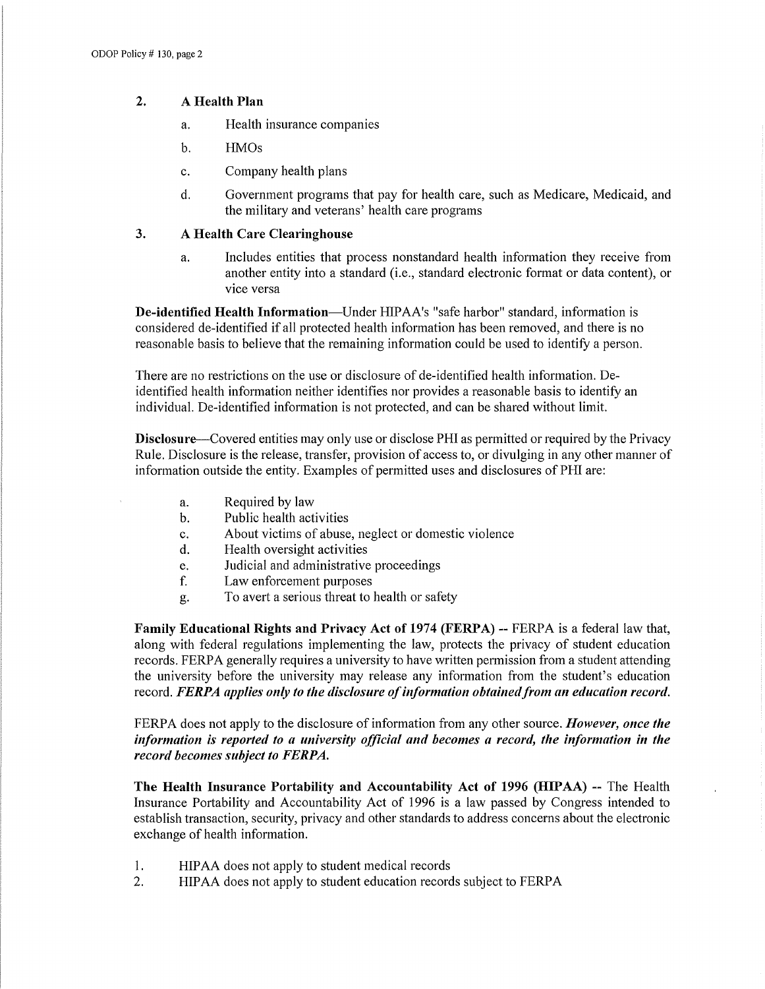## 2. A Health Plan

- a. Health insurance companies
- b. HMOs
- c. Company health plans
- d. Government programs that pay for health care, such as Medicare, Medicaid, and the military and veterans' health care programs

## 3. A Health Care Clearinghouse

a. Includes entities that process nonstandard health information they receive from another entity into a standard (i.e., standard electronic format or data content), or vice versa

De-identified Health Information-Under HIPAA's "safe harbor" standard, information is considered de-identified if all protected health information has been removed, and there is no reasonable basis to believe that the remaining information could be used to identify a person.

There are no restrictions on the use or disclosure of de-identified health information. Deidentified health information neither identifies nor provides a reasonable basis to identify an individual. De-identified information is not protected, and can be shared without limit.

Disclosure--Covered entities may only use or disclose PHI as permitted or required by the Privacy Rule. Disclosure is the release, transfer, provision of access to, or divulging in any other manner of information outside the entity. Examples of permitted uses and disclosures of PHI are:

- a. Required by law
- b. Public health activities
- c. About victims of abuse, neglect or domestic violence
- d. Health oversight activities
- e. Judicial and administrative proceedings
- f. Law enforcement purposes
- g. To avert a serious threat to health or safety

Family Educational Rights and Privacy Act of 1974 (FERPA) -- FERPA is a federal law that, along with federal regulations implementing the law, protects the privacy of student education records. FERPA generally requires a university to have written permission from a student attending the university before the university may release any information from the student's education record. *FERPA applies only to the disclosure of information obtained from an education record.* 

FERPA does not apply to the disclosure of information from any other source. *However, once the information is reported to a university official and becomes a record, the information in the record becomes subject to FERPA.* 

The Health Insurance Portability and Accountability Act of 1996 (HIPAA) -- The Health Insurance Portability and Accountability Act of 1996 is a law passed by Congress intended to establish transaction, security, privacy and other standards to address concerns about the electronic exchange of health information.

- 1. HIPAA does not apply to student medical records
- 2. HIPAA does not apply to student education records subject to FERPA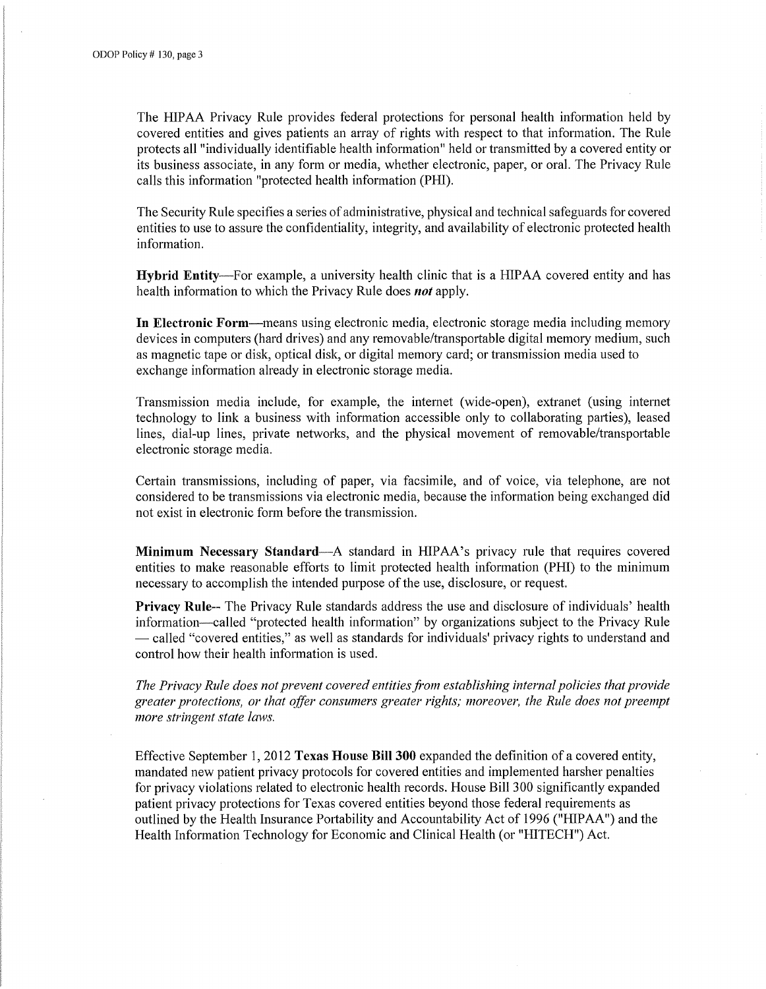The HIP AA Privacy Rule provides federal protections for personal health information held by covered entities and gives patients an array of rights with respect to that information. The Rule protects all "individually identifiable health information" held or transmitted by a covered entity or its business associate, in any form or media, whether electronic, paper, or oral. The Privacy Rule calls this information "protected health information (PHI).

The Security Rule specifies a series of administrative, physical and technical safeguards for covered entities to use to assure the confidentiality, integrity, and availability of electronic protected health information.

Hybrid Entity-For example, a university health clinic that is a HIPAA covered entity and has health information to which the Privacy Rule does *not* apply.

In Electronic Form-means using electronic media, electronic storage media including memory devices in computers (hard drives) and any removable/transportable digital memory medium, such as magnetic tape or disk, optical disk, or digital memory card; or transmission media used to exchange information already in electronic storage media.

Transmission media include, for example, the internet (wide-open), extranet (using internet technology to link a business with information accessible only to collaborating parties), leased lines, dial-up lines, private networks, and the physical movement of removable/transportable electronic storage media.

Certain transmissions, including of paper, via facsimile, and of voice, via telephone, are not considered to be transmissions via electronic media, because the information being exchanged did not exist in electronic form before the transmission.

Minimum Necessary Standard-A standard in HIPAA's privacy rule that requires covered entities to make reasonable efforts to limit protected health information (PHI) to the minimum necessary to accomplish the intended purpose of the use, disclosure, or request.

Privacy Rule-- The Privacy Rule standards address the use and disclosure of individuals' health information-called "protected health information" by organizations subject to the Privacy Rule  $-$  called "covered entities," as well as standards for individuals' privacy rights to understand and control how their health information is used.

*The Privacy Rule does not prevent covered entities from establishing internal policies that provide greater protections, or that offer consumers greater rights; moreover, the Rule does not preempt more stringent state laws.* 

Effective September 1, 2012 Texas House Bill 300 expanded the definition of a covered entity, mandated new patient privacy protocols for covered entities and implemented harsher penalties for privacy violations related to electronic health records. House Bill 300 significantly expanded patient privacy protections for Texas covered entities beyond those federal requirements as outlined by the Health Insurance Portability and Accountability Act of 1996 ("HIPAA") and the Health Information Technology for Economic and Clinical Health (or "HITECH") Act.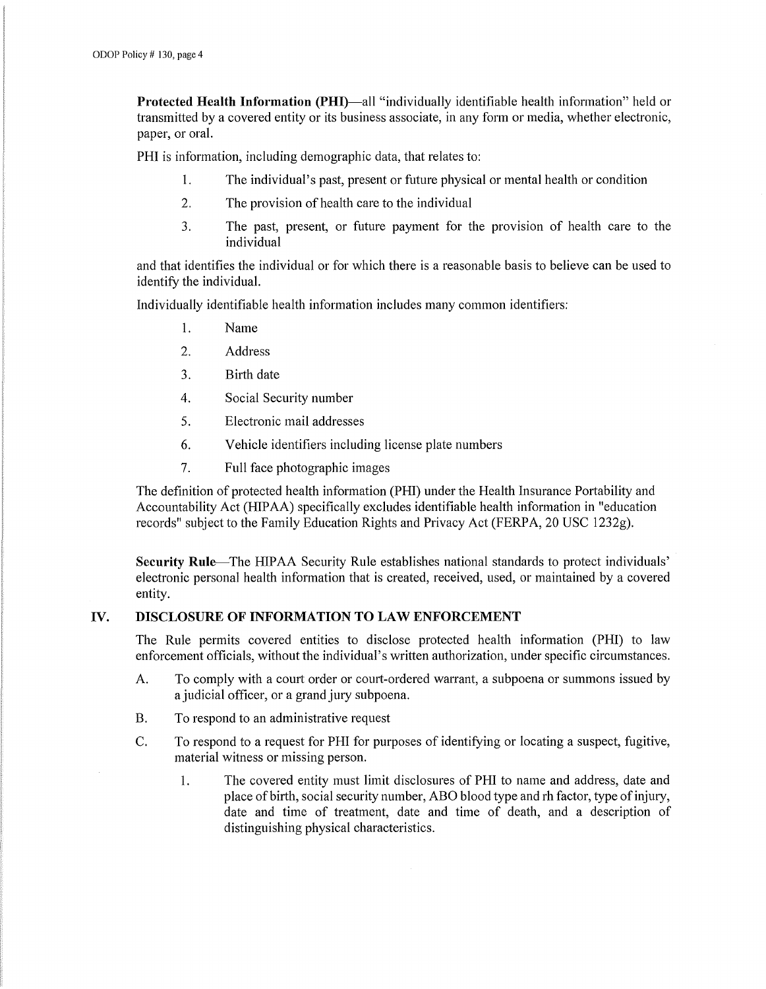Protected Health Information (PHI)—all "individually identifiable health information" held or transmitted by a covered entity or its business associate, in any form or media, whether electronic, paper, or oral.

PHI is information, including demographic data, that relates to:

- 1. The individual's past, present or future physical or mental health or condition
- 2. The provision of health care to the individual
- 3. The past, present, or future payment for the provision of health care to the individual

and that identifies the individual or for which there is a reasonable basis to believe can be used to identify the individual.

Individually identifiable health information includes many common identifiers:

- 1. Name
- 2. Address
- 3. Birth date
- 4. Social Security number
- 5. Electronic mail addresses
- 6. Vehicle identifiers including license plate numbers
- 7. Full face photographic images

The definition of protected health information (PHI) under the Health Insurance Portability and Accountability Act (HIP AA) specifically excludes identifiable health information in "education records" subject to the Family Education Rights and Privacy Act (FERPA, 20 USC 1232g).

Security Rule-The HIPAA Security Rule establishes national standards to protect individuals' electronic personal health information that is created, received, used, or maintained by a covered entity.

#### IV. DISCLOSURE OF INFORMATION TO LAW ENFORCEMENT

The Rule permits covered entities to disclose protected health information (PHI) to law enforcement officials, without the individual's written authorization, under specific circumstances.

- A. To comply with a court order or court-ordered warrant, a subpoena or summons issued by a judicial officer, or a grand jury subpoena.
- B. To respond to an administrative request
- C. To respond to a request for PHI for purposes of identifying or locating a suspect, fugitive, material witness or missing person.
	- 1. The covered entity must limit disclosures of PHI to name and address, date and place of birth, social security number, ABO blood type and rh factor, type of injury, date and time of treatment, date and time of death, and a description of distinguishing physical characteristics.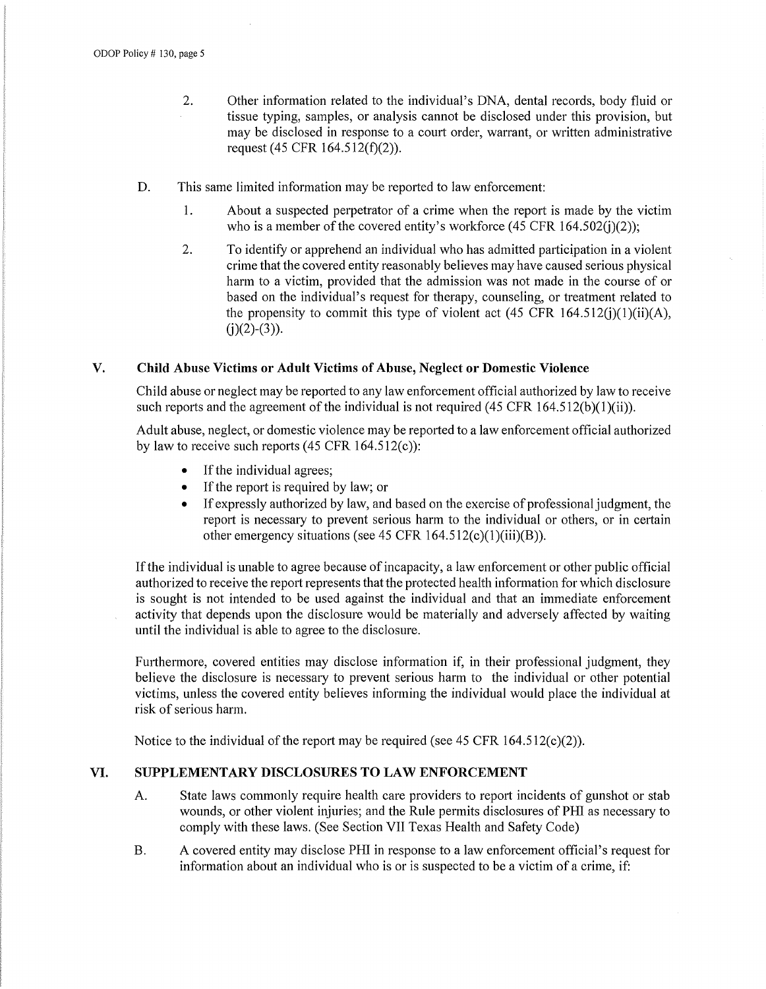- 2. Other information related to the individual's DNA, dental records, body fluid or tissue typing, samples, or analysis cannot be disclosed under this provision, but may be disclosed in response to a court order, warrant, or written administrative request (45 CFR  $164.512(f)(2)$ ).
- D. This same limited information may be reported to law enforcement:
	- 1. About a suspected perpetrator of a crime when the report is made by the victim who is a member of the covered entity's workforce  $(45 \text{ CFR } 164.502(j)(2));$
	- 2. To identify or apprehend an individual who has admitted participation in a violent crime that the covered entity reasonably believes may have caused serious physical harm to a victim, provided that the admission was not made in the course of or based on the individual's request for therapy, counseling, or treatment related to the propensity to commit this type of violent act  $(45 \text{ CFR } 164.512(i)(1)(ii)(A),$  $(j)(2)-(3)$ ).

#### **V. Child Abuse Victims or Adult Victims of Abuse, Neglect or Domestic Violence**

Child abuse or neglect may be reported to any law enforcement official authorized by law to receive such reports and the agreement of the individual is not required (45 CFR 164.512(b)(1)(ii)).

Adult abuse, neglect, or domestic violence may be reported to a law enforcement official authorized by law to receive such reports  $(45 \text{ CFR } 164.512(c))$ :

- $\bullet$  If the individual agrees;
- If the report is required by law; or
- If expressly authorized by law, and based on the exercise of professional judgment, the report is necessary to prevent serious harm to the individual or others, or in certain other emergency situations (see 45 CFR  $164.512(c)(1)(iii)(B)$ ).

Ifthe individual is unable to agree because of incapacity, a law enforcement or other public official authorized to receive the report represents that the protected health information for which disclosure is sought is not intended to be used against the individual and that an immediate enforcement activity that depends upon the disclosure would be materially and adversely affected by waiting until the individual is able to agree to the disclosure.

Furthermore, covered entities may disclose information if, in their professional judgment, they believe the disclosure is necessary to prevent serious harm to the individual or other potential victims, unless the covered entity believes informing the individual would place the individual at risk of serious harm.

Notice to the individual of the report may be required (see 45 CFR  $164.512(c)(2)$ ).

#### **VI. SUPPLEMENTARY DISCLOSURES TO LAW ENFORCEMENT**

- A. State laws commonly require health care providers to report incidents of gunshot or stab wounds, or other violent injuries; and the Rule permits disclosures of PHI as necessary to comply with these laws. (See Section VII Texas Health and Safety Code)
- B. A covered entity may disclose PHI in response to a law enforcement official's request for information about an individual who is or is suspected to be a victim of a crime, if: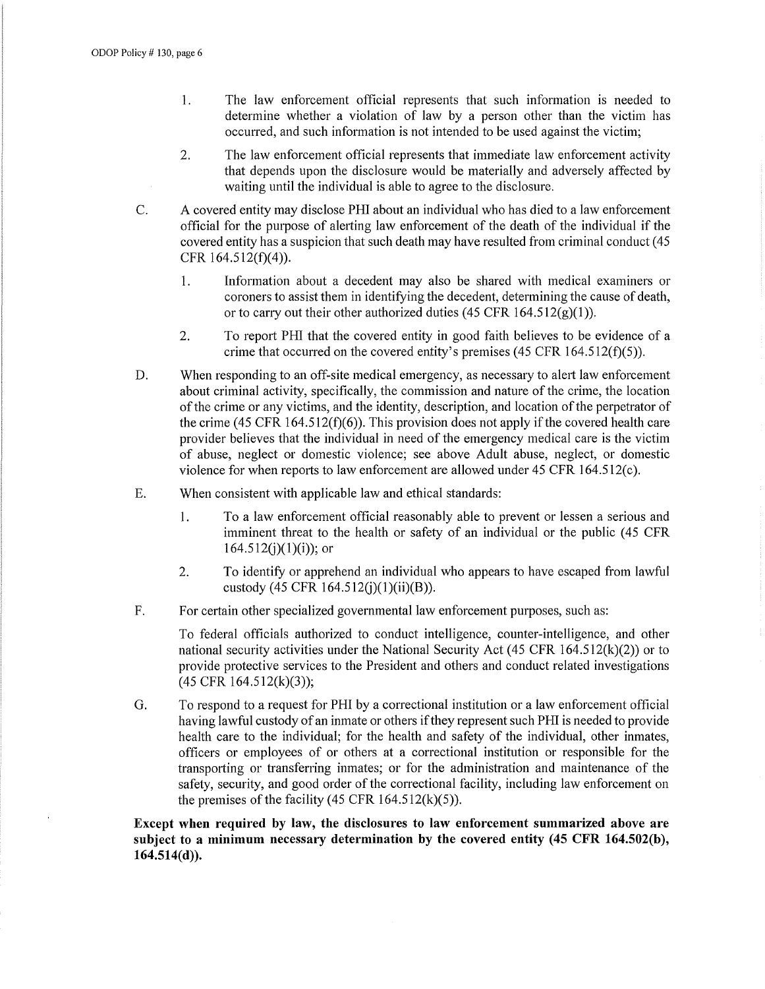- 1. The law enforcement official represents that such information is needed to determine whether a violation of law by a person other than the victim has occurred, and such information is not intended to be used against the victim;
- 2. The law enforcement official represents that immediate law enforcement activity that depends upon the disclosure would be materially and adversely affected by waiting until the individual is able to agree to the disclosure.
- C. A covered entity may disclose PHI about an individual who has died to a law enforcement official for the purpose of alerting law enforcement of the death of the individual if the covered entity has a suspicion that such death may have resulted from criminal conduct ( 45 CFR 164.512(f)(4)).
	- 1. Information about a decedent may also be shared with medical examiners or coroners to assist them in identifying the decedent, determining the cause of death, or to carry out their other authorized duties (45 CFR  $164.512(g)(1)$ ).
	- 2. To report PHI that the covered entity in good faith believes to be evidence of a crime that occurred on the covered entity's premises (45 CFR 164.512(f)(5)).
- D. When responding to an off-site medical emergency, as necessary to alert law enforcement about criminal activity, specifically, the commission and nature of the crime, the location of the crime or any victims, and the identity, description, and location of the perpetrator of the crime (45 CFR 164.512( $f$ )(6)). This provision does not apply if the covered health care provider believes that the individual in need of the emergency medical care is the victim of abuse, neglect or domestic violence; see above Adult abuse, neglect, or domestic violence for when reports to law enforcement are allowed under 45 CFR 164.512(c).
- E. When consistent with applicable law and ethical standards:
	- **1.**  To a law enforcement official reasonably able to prevent or lessen a serious and imminent threat to the health or safety of an individual or the public (45 CFR  $164.512(i)(1)(i)$ ; or
	- 2. To identify or apprehend an individual who appears to have escaped from lawful custody (45 CFR 164.512(j)(1)(ii)(B)).
- F. For certain other specialized governmental law enforcement purposes, such as:

To federal officials authorized to conduct intelligence, counter-intelligence, and other national security activities under the National Security Act (45 CFR  $164.512(k)(2)$ ) or to provide protective services to the President and others and conduct related investigations (45 CFR 164.512(k)(3));

G. To respond to a request for PHI by a correctional institution or a law enforcement official having lawful custody of an inmate or others if they represent such PHI is needed to provide health care to the individual; for the health and safety of the individual, other inmates, officers or employees of or others at a correctional institution or responsible for the transporting or transferring inmates; or for the administration and maintenance of the safety, security, and good order of the correctional facility, including law enforcement on the premises of the facility  $(45 \text{ CFR } 164.512 \text{ (k)}(5))$ .

**Except when required by law, the disclosures to law enforcement summarized above are subject to a minimum necessary determination by the covered entity (45 CFR 164.502(b), 164.514(d)).**